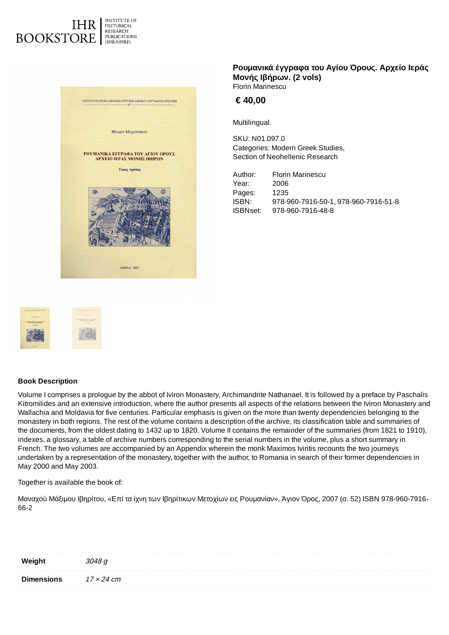



## **Ρουμανικά έγγραφα του Αγίου Όρους. Αρχείο Ιεράς Μονής Ιβήρων. (2 vols)** Florin Marinescu

**€ 40,00**

Multilingual.

SKU: N01.097.0 Categories: Modern [Greek Studies,](https://history-bookstore.eie.gr/en/section/neohellenic-research/modern-greek-studies/) Section of [Neohellenic Research](https://history-bookstore.eie.gr/en/section/neohellenic-research/)

Author: Florin Marinescu Year: 2006 Pages: 1235 ISBN: 978-960-7916-50-1, 978-960-7916-51-8 ISBNset: 978-960-7916-48-8



## **Book Description**

Volume I comprises a prologue by the abbot of Iviron Monastery, Archimandrite Nathanael. It is followed by a preface by Paschalis Kitromilides and an extensive introduction, where the author presents all aspects of the relations between the Iviron Monastery and Wallachia and Moldavia for five centuries. Particular emphasis is given on the more than twenty dependencies belonging to the monastery in both regions. The rest of the volume contains a description of the archive, its classification table and summaries of the documents, from the oldest dating to 1432 up to 1820. Volume II contains the remainder of the summaries (from 1821 to 1910), indexes, a glossary, a table of archive numbers corresponding to the serial numbers in the volume, plus a short summary in French. The two volumes are accompanied by an Appendix wherein the monk Maximos Iviritis recounts the two journeys undertaken by a representation of the monastery, together with the author, to Romania in search of their former dependencies in May 2000 and May 2003.

Together is available the book of:

Μοναχού Μάξιμου Ιβηρίτου, «Επί τα ίχνη των Ιβηρίτικων Μετοχίων εις Ρουμανίαν», Άγιον Όρος, 2007 (σ. 52) ISBN 978-960-7916- 66-2

| Weight            | 3048 q     |
|-------------------|------------|
| <b>Dimensions</b> | 17 × 24 cm |